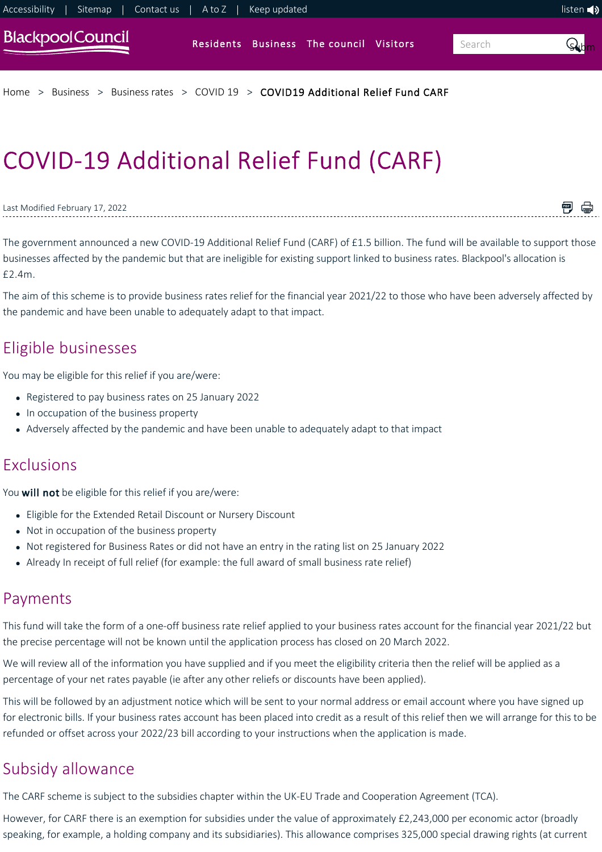

# COVID‐19 Additional Relief Fund (CARF)

#### Last Modified February 17, 2022

<span id="page-0-0"></span>The government announced a new COVID‐19 Additional Relief Fund (CARF) of £1.5 billion. The fund will be available to support those businesses affected by the pandemic but that are ineligible for existing support linked to business rates. Blackpool's allocation is £2.4m.

闸 骨

The aim of this scheme is to provide business rates relief for the financial year 2021/22 to those who have been adversely affected by the pandemic and have been unable to adequately adapt to that impact.

# Eligible businesses

You may be eligible for this relief if you are/were:

- Registered to pay business rates on 25 January 2022
- In occupation of the business property
- Adversely affected by the pandemic and have been unable to adequately adapt to that impact

### Exclusions

You will not be eligible for this relief if you are/were:

- Eligible for the Extended Retail Discount or Nursery Discount
- Not in occupation of the business property
- Not registered for Business Rates or did not have an entry in the rating list on 25 January 2022
- Already In receipt of full relief (for example: the full award of small business rate relief)

## Payments

This fund will take the form of a one-off business rate relief applied to your business rates account for the financial year 2021/22 but the precise percentage will not be known until the application process has closed on 20 March 2022.

We will review all of the information you have supplied and if you meet the eligibility criteria then the relief will be applied as a percentage of your net rates payable (ie after any other reliefs or discounts have been applied).

This will be followed by an adjustment notice which will be sent to your normal address or email account where you have signed up for electronic bills. If your business rates account has been placed into credit as a result of this relief then we will arrange for this to be refunded or offset across your 2022/23 bill according to your instructions when the application is made.

# Subsidy allowance

The CARF scheme is subject to the subsidies chapter within the UK‐EU Trade and Cooperation Agreement (TCA).

However, for CARF there is an exemption for subsidies under the value of approximately £2,243,000 per economic actor (broadly speaking, for example, a holding company and its subsidiaries). This allowance comprises 325,000 special drawing rights (at current